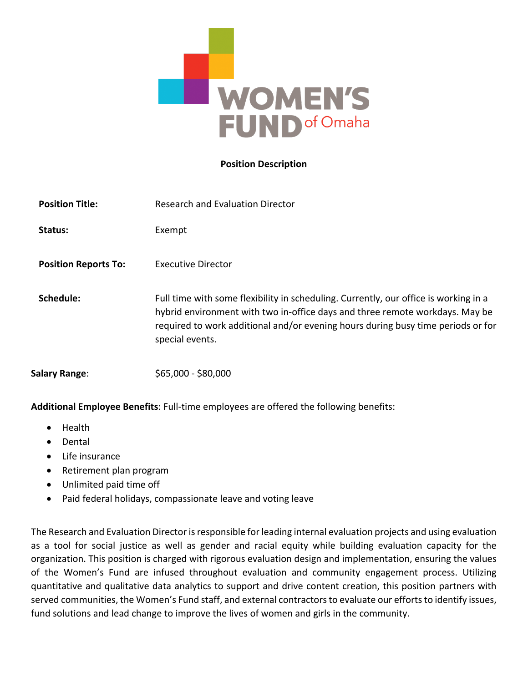

#### **Position Description**

| <b>Position Title:</b>      | <b>Research and Evaluation Director</b>                                                                                                                                                                                                                                     |
|-----------------------------|-----------------------------------------------------------------------------------------------------------------------------------------------------------------------------------------------------------------------------------------------------------------------------|
| Status:                     | Exempt                                                                                                                                                                                                                                                                      |
| <b>Position Reports To:</b> | Executive Director                                                                                                                                                                                                                                                          |
| Schedule:                   | Full time with some flexibility in scheduling. Currently, our office is working in a<br>hybrid environment with two in-office days and three remote workdays. May be<br>required to work additional and/or evening hours during busy time periods or for<br>special events. |
| <b>Salary Range:</b>        | \$65,000 - \$80,000                                                                                                                                                                                                                                                         |

**Additional Employee Benefits**: Full-time employees are offered the following benefits:

- Health
- Dental
- Life insurance
- Retirement plan program
- Unlimited paid time off
- Paid federal holidays, compassionate leave and voting leave

The Research and Evaluation Director is responsible for leading internal evaluation projects and using evaluation as a tool for social justice as well as gender and racial equity while building evaluation capacity for the organization. This position is charged with rigorous evaluation design and implementation, ensuring the values of the Women's Fund are infused throughout evaluation and community engagement process. Utilizing quantitative and qualitative data analytics to support and drive content creation, this position partners with served communities, the Women's Fund staff, and external contractors to evaluate our efforts to identify issues, fund solutions and lead change to improve the lives of women and girls in the community.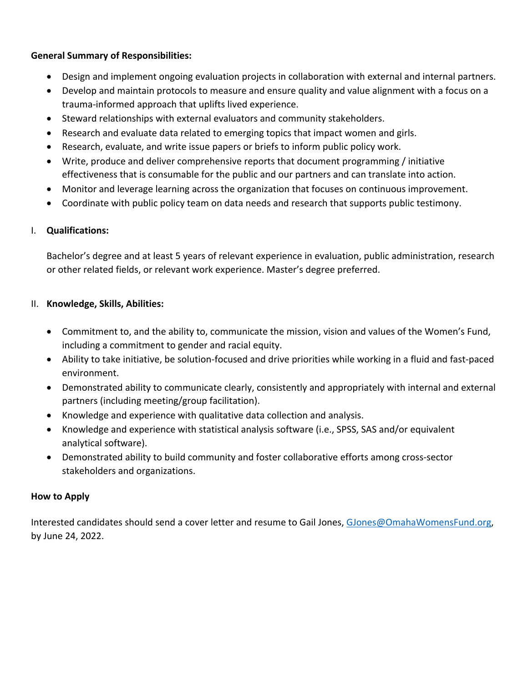# **General Summary of Responsibilities:**

- Design and implement ongoing evaluation projects in collaboration with external and internal partners.
- Develop and maintain protocols to measure and ensure quality and value alignment with a focus on a trauma-informed approach that uplifts lived experience.
- Steward relationships with external evaluators and community stakeholders.
- Research and evaluate data related to emerging topics that impact women and girls.
- Research, evaluate, and write issue papers or briefs to inform public policy work.
- Write, produce and deliver comprehensive reports that document programming / initiative effectiveness that is consumable for the public and our partners and can translate into action.
- Monitor and leverage learning across the organization that focuses on continuous improvement.
- Coordinate with public policy team on data needs and research that supports public testimony.

## I. **Qualifications:**

Bachelor's degree and at least 5 years of relevant experience in evaluation, public administration, research or other related fields, or relevant work experience. Master's degree preferred.

## II. **Knowledge, Skills, Abilities:**

- Commitment to, and the ability to, communicate the mission, vision and values of the Women's Fund, including a commitment to gender and racial equity.
- Ability to take initiative, be solution-focused and drive priorities while working in a fluid and fast-paced environment.
- Demonstrated ability to communicate clearly, consistently and appropriately with internal and external partners (including meeting/group facilitation).
- Knowledge and experience with qualitative data collection and analysis.
- Knowledge and experience with statistical analysis software (i.e., SPSS, SAS and/or equivalent analytical software).
- Demonstrated ability to build community and foster collaborative efforts among cross-sector stakeholders and organizations.

## **How to Apply**

Interested candidates should send a cover letter and resume to Gail Jones, GJones@OmahaWomensFund.org, by June 24, 2022.